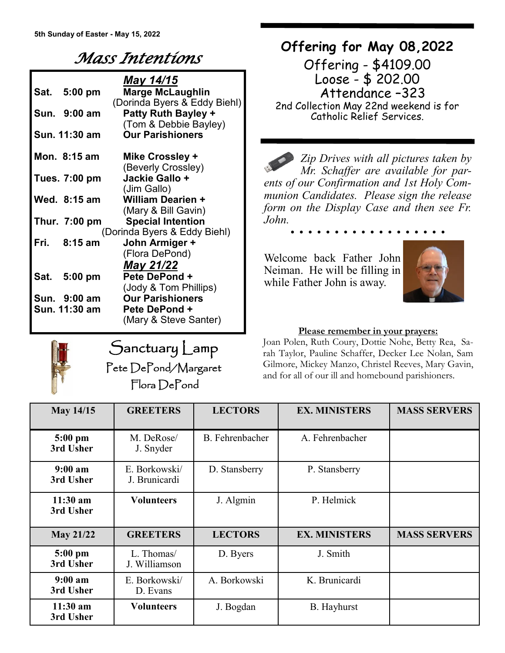# *Mass Intentions*

|                              |               | May 14/15                    |  |  |  |
|------------------------------|---------------|------------------------------|--|--|--|
|                              | Sat. 5:00 pm  | <b>Marge McLaughlin</b>      |  |  |  |
|                              |               | (Dorinda Byers & Eddy Biehl) |  |  |  |
|                              | Sun. 9:00 am  | <b>Patty Ruth Bayley +</b>   |  |  |  |
|                              |               | (Tom & Debbie Bayley)        |  |  |  |
|                              | Sun. 11:30 am | <b>Our Parishioners</b>      |  |  |  |
|                              | Mon. 8:15 am  | Mike Crossley +              |  |  |  |
|                              |               | (Beverly Crossley)           |  |  |  |
|                              | Tues. 7:00 pm | Jackie Gallo +               |  |  |  |
|                              |               | (Jim Gallo)                  |  |  |  |
|                              | Wed. 8:15 am  | <b>William Dearien +</b>     |  |  |  |
|                              |               | (Mary & Bill Gavin)          |  |  |  |
|                              | Thur. 7:00 pm | <b>Special Intention</b>     |  |  |  |
| (Dorinda Byers & Eddy Biehl) |               |                              |  |  |  |
| Fri.                         | $8:15$ am     | John Armiger +               |  |  |  |
|                              |               | (Flora DePond)               |  |  |  |
|                              |               | May 21/22                    |  |  |  |
|                              | Sat. 5:00 pm  | Pete DePond +                |  |  |  |
|                              |               | (Jody & Tom Phillips)        |  |  |  |
|                              | Sun. 9:00 am  | <b>Our Parishioners</b>      |  |  |  |
|                              | Sun. 11:30 am | Pete DePond +                |  |  |  |
|                              |               | (Mary & Steve Santer)        |  |  |  |

Sanctuary Lamp

Pete DePond/Margaret Flora DePond

## **Offering for May 08,2022**

Offering - \$4109.00 Loose - \$ 202.00 Attendance –323 2nd Collection May 22nd weekend is for Catholic Relief Services.

*Zip Drives with all pictures taken by Mr. Schaffer are available for parents of our Confirmation and 1st Holy Communion Candidates. Please sign the release form on the Display Case and then see Fr. John.*

Welcome back Father John Neiman. He will be filling in while Father John is away.



#### **Please remember in your prayers:**

Joan Polen, Ruth Coury, Dottie Nohe, Betty Rea, Sarah Taylor, Pauline Schaffer, Decker Lee Nolan, Sam Gilmore, Mickey Manzo, Christel Reeves, Mary Gavin, and for all of our ill and homebound parishioners.

| <b>May 14/15</b>                 | <b>GREETERS</b>                | <b>LECTORS</b>         | <b>EX. MINISTERS</b> | <b>MASS SERVERS</b> |
|----------------------------------|--------------------------------|------------------------|----------------------|---------------------|
| $5:00$ pm<br>3rd Usher           | M. DeRose/<br>J. Snyder        | <b>B.</b> Fehrenbacher | A. Fehrenbacher      |                     |
| 9:00 a <sub>m</sub><br>3rd Usher | E. Borkowski/<br>J. Brunicardi | D. Stansberry          | P. Stansberry        |                     |
| $11:30$ am<br>3rd Usher          | <b>Volunteers</b>              | J. Algmin              | P. Helmick           |                     |
| <b>May 21/22</b>                 | <b>GREETERS</b>                | <b>LECTORS</b>         | <b>EX. MINISTERS</b> | <b>MASS SERVERS</b> |
| $5:00$ pm<br>3rd Usher           | L. Thomas/<br>J. Williamson    | D. Byers               | J. Smith             |                     |
| 9:00 a <sub>m</sub><br>3rd Usher | E. Borkowski/<br>D. Evans      | A. Borkowski           | K. Brunicardi        |                     |
| $11:30$ am<br>3rd Usher          | <b>Volunteers</b>              | J. Bogdan              | <b>B.</b> Hayhurst   |                     |